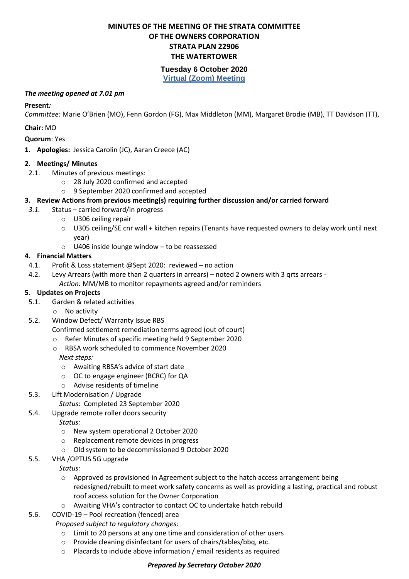# **MINUTES OF THE MEETING OF THE STRATA COMMITTEE OF THE OWNERS CORPORATION STRATA PLAN 22906 THE WATERTOWER**

## **Tuesday 6 October 2020**

**Virtual (Zoom) Meeting**

#### *The meeting opened at 7.01 pm*

#### **Present***:*

*Committee:* Marie O'Brien (MO), Fenn Gordon (FG), Max Middleton (MM), Margaret Brodie (MB), TT Davidson (TT),

### **Chair:** MO

**Quorum**: Yes

**1. Apologies:** Jessica Carolin (JC), Aaran Creece (AC)

### **2. Meetings/ Minutes**

- 2.1. Minutes of previous meetings:
	- o 28 July 2020 confirmed and accepted
	- o 9 September 2020 confirmed and accepted

## **3. Review Actions from previous meeting(s) requiring further discussion and/or carried forward**

- *3.1.* Status carried forward/in progress
	- o U306 ceiling repair
	- $\circ$  U305 ceiling/SE cnr wall + kitchen repairs (Tenants have requested owners to delay work until next year)
	- o U406 inside lounge window to be reassessed

## **4. Financial Matters**

- 4.1. Profit & Loss statement @Sept 2020: reviewed no action
- 4.2. Levy Arrears (with more than 2 quarters in arrears) noted 2 owners with 3 qrts arrears *Action:* MM/MB to monitor repayments agreed and/or reminders

### **5. Updates on Projects**

- 5.1. Garden & related activities
	- o No activity
- 5.2. Window Defect/ Warranty Issue RBS

Confirmed settlement remediation terms agreed (out of court)

- o Refer Minutes of specific meeting held 9 September 2020
- o RBSA work scheduled to commence November 2020 *Next steps:*
	- o Awaiting RBSA's advice of start date
	- o OC to engage engineer (BCRC) for QA
	- o Advise residents of timeline
- 5.3. Lift Modernisation / Upgrade

*Status*: Completed 23 September 2020

5.4. Upgrade remote roller doors security

*Status:* 

- o New system operational 2 October 2020
- o Replacement remote devices in progress
- o Old system to be decommissioned 9 October 2020
- 5.5. VHA /OPTUS 5G upgrade
	- *Status:*
	- o Approved as provisioned in Agreement subject to the hatch access arrangement being redesigned/rebuilt to meet work safety concerns as well as providing a lasting, practical and robust roof access solution for the Owner Corporation
	- o Awaiting VHA's contractor to contact OC to undertake hatch rebuild
- 5.6. COVID-19 Pool recreation (fenced) area

*Proposed subject to regulatory changes:* 

- o Limit to 20 persons at any one time and consideration of other users
- o Provide cleaning disinfectant for users of chairs/tables/bbq, etc.
- o Placards to include above information / email residents as required

### *Prepared by Secretary October 2020*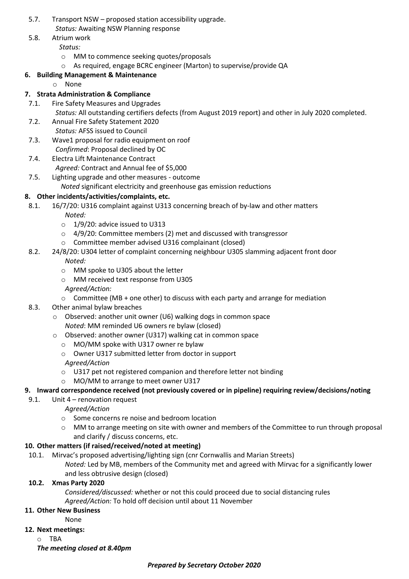- 5.7. Transport NSW proposed station accessibility upgrade. *Status:* Awaiting NSW Planning response
- 5.8. Atrium work
	- *Status:*
	- o MM to commence seeking quotes/proposals
	- o As required, engage BCRC engineer (Marton) to supervise/provide QA

# **6. Building Management & Maintenance**

o None

# **7. Strata Administration & Compliance**

7.1. Fire Safety Measures and Upgrades

*Status:* All outstanding certifiers defects (from August 2019 report) and other in July 2020 completed.

- 7.2. Annual Fire Safety Statement 2020 *Status:* AFSS issued to Council
- 7.3. Wave1 proposal for radio equipment on roof
	- *Confirmed*: Proposal declined by OC
- 7.4. Electra Lift Maintenance Contract
	- *Agreed:* Contract and Annual fee of \$5,000
- 7.5. Lighting upgrade and other measures outcome *Noted* significant electricity and greenhouse gas emission reductions

## **8. Other incidents/activities/complaints, etc.**

- 8.1. 16/7/20: U316 complaint against U313 concerning breach of by-law and other matters
	- *Noted:*
	- $\circ$  1/9/20: advice issued to U313
	- $\circ$  4/9/20: Committee members (2) met and discussed with transgressor
	- o Committee member advised U316 complainant (closed)
- 8.2. 24/8/20: U304 letter of complaint concerning neighbour U305 slamming adjacent front door *Noted:*
	- o MM spoke to U305 about the letter
	- o MM received text response from U305
	- *Agreed/Action:*
	- $\circ$  Committee (MB + one other) to discuss with each party and arrange for mediation
- 8.3. Other animal bylaw breaches
	- o Observed: another unit owner (U6) walking dogs in common space *Noted*: MM reminded U6 owners re bylaw (closed)
	- o Observed: another owner (U317) walking cat in common space
		- o MO/MM spoke with U317 owner re bylaw
		- o Owner U317 submitted letter from doctor in support

### *Agreed/Action*

- o U317 pet not registered companion and therefore letter not binding
- o MO/MM to arrange to meet owner U317

## **9. Inward correspondence received (not previously covered or in pipeline) requiring review/decisions/noting**

- 9.1. Unit 4 renovation request
	- *Agreed/Action*
	- o Some concerns re noise and bedroom location
	- o MM to arrange meeting on site with owner and members of the Committee to run through proposal and clarify / discuss concerns, etc.

## **10. Other matters (if raised/received/noted at meeting)**

- 10.1. Mirvac's proposed advertising/lighting sign (cnr Cornwallis and Marian Streets)
	- *Noted:* Led by MB, members of the Community met and agreed with Mirvac for a significantly lower and less obtrusive design (closed)

### **10.2. Xmas Party 2020**

*Considered/discussed:* whether or not this could proceed due to social distancing rules *Agreed/Action:* To hold off decision until about 11 November

## **11. Other New Business**

None

### **12. Next meetings:**

o TBA

*The meeting closed at 8.40pm*